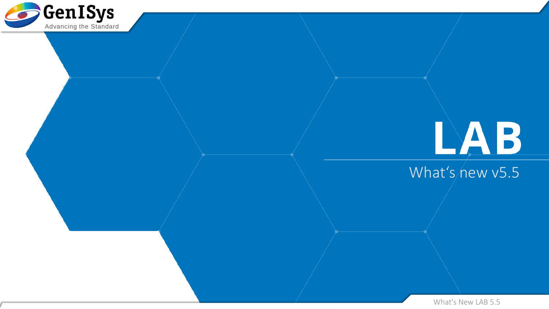

# LAB

What's new v5.5

What's New LAB 5.5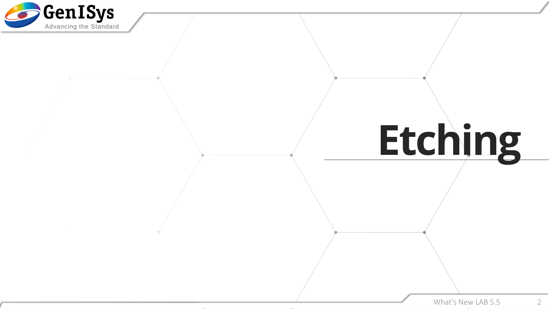

# **Etching**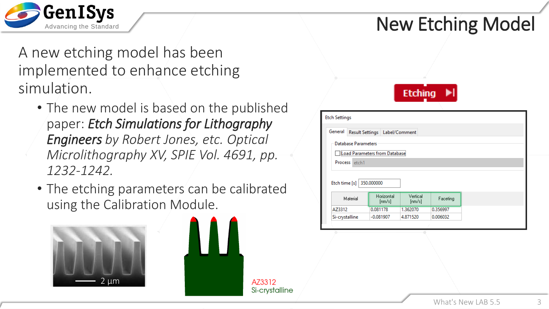

# New Etching Model

A new etching model has been implemented to enhance etching simulation.

- The new model is based on the published paper: *Etch Simulations for Lithography Engineers by Robert Jones, etc. Optical Microlithography XV, SPIE Vol. 4691, pp. 1232-1242.*
- The etching parameters can be calibrated using the Calibration Module.





A73312

Si-crystalline

| <i>stehine</i> |  |
|----------------|--|
|                |  |
|                |  |

| <b>Etch Settings</b>                                  |                                             |                    |          |  |  |  |  |  |  |
|-------------------------------------------------------|---------------------------------------------|--------------------|----------|--|--|--|--|--|--|
| General                                               | <b>Result Settings</b><br>Label/Comment     |                    |          |  |  |  |  |  |  |
| Database Parameters<br>Process etch1<br>Etch time [s] | Load Parameters from Database<br>350.000000 |                    |          |  |  |  |  |  |  |
| Material                                              | Horizontal<br>[nm/s]                        | Vertical<br>[nm/s] | Faceting |  |  |  |  |  |  |
| AZ3312                                                | 0.081178                                    | 1.362070           | 0.356997 |  |  |  |  |  |  |
| Si-crystalline                                        | $-0.081907$                                 | 4.871520           | 0.006032 |  |  |  |  |  |  |
|                                                       |                                             |                    |          |  |  |  |  |  |  |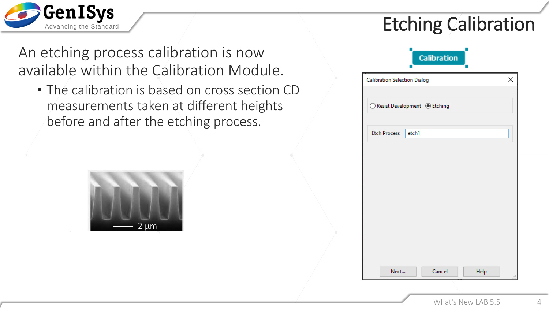

# Etching Calibration

#### An etching process calibration is now available within the Calibration Module.

• The calibration is based on cross section CD measurements taken at different heights before and after the etching process.



|                                     | Calibration                    |   |
|-------------------------------------|--------------------------------|---|
| <b>Calibration Selection Dialog</b> |                                | × |
|                                     | ◯ Resist Development ( Etching |   |
| <b>Etch Process</b>                 | etch1                          |   |
|                                     |                                |   |
|                                     |                                |   |
|                                     |                                |   |
|                                     |                                |   |
|                                     |                                |   |
|                                     |                                |   |
|                                     |                                |   |
|                                     |                                |   |
| Next                                | Cancel<br>Help                 |   |
|                                     |                                |   |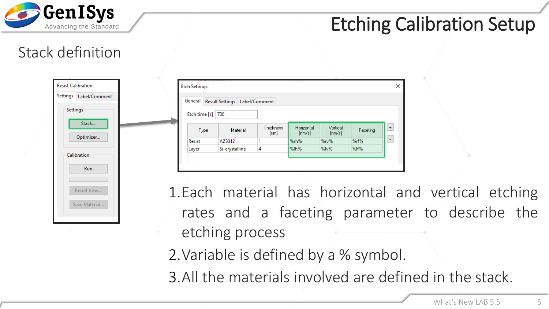

# Etching Calibration Setup

#### Stack definition

| <b>Resist Calibration</b> |                           | <b>Etch Settings</b>               |                                                                                                                                                                     |                   |                      |                    |          | ×         |
|---------------------------|---------------------------|------------------------------------|---------------------------------------------------------------------------------------------------------------------------------------------------------------------|-------------------|----------------------|--------------------|----------|-----------|
|                           | Settings Label/Comment    |                                    | General Result Settings Label/Comment                                                                                                                               |                   |                      |                    |          |           |
| Settings                  |                           | Etch time $[s]$ 700                |                                                                                                                                                                     |                   |                      |                    |          |           |
|                           | Stack                     | Type                               | Material                                                                                                                                                            | Thickness<br>[um] | Horizontal<br>[mm/s] | Vertical<br>[mm/s] | Faceting | $\ddot{}$ |
|                           | Optimizer                 | Resist                             | AZ3312                                                                                                                                                              |                   | %rh%                 | % <sub>N</sub>     | %rf%     | ٠         |
|                           |                           | Layer                              | Si-crystalline                                                                                                                                                      | 4                 | %lh%                 | %lv%               | %If%     |           |
|                           | Calibration<br><b>Run</b> |                                    |                                                                                                                                                                     |                   |                      |                    |          |           |
|                           | Result View               | 1. Each material has horizontal an |                                                                                                                                                                     |                   |                      |                    |          |           |
|                           | Save Material             |                                    | $r_{0}$ $\leftrightarrow$ $r_{0}$ $\leftrightarrow$ $r_{0}$ $\leftrightarrow$ $r_{0}$ $\leftrightarrow$ $r_{0}$ $\leftrightarrow$ $r_{0}$ $\leftrightarrow$ $r_{0}$ |                   |                      |                    |          |           |

- nd vertical etching rates and a faceting parameter to describe the etching process
- 2.Variable is defined by a % symbol.
- 3.All the materials involved are defined in the stack.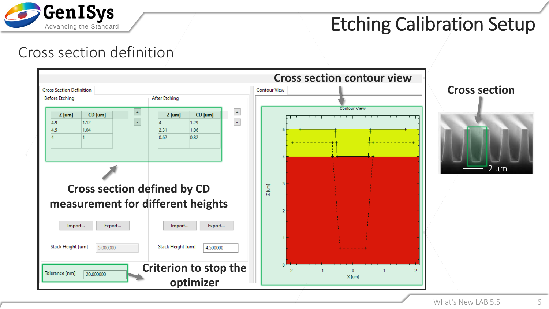

## Etching Calibration Setup

#### Cross section definition

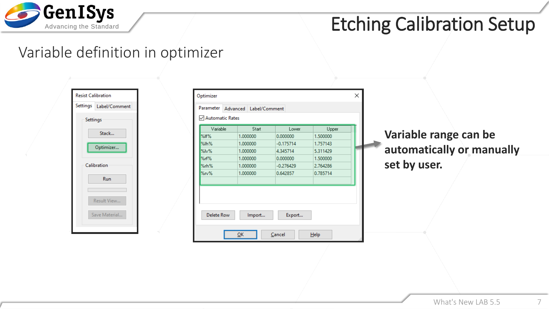

# Etching Calibration Setup

#### Variable definition in optimizer

| <b>Resist Calibration</b> |                        |
|---------------------------|------------------------|
|                           | Settings Label/Comment |
| Settings                  |                        |
|                           | Stack                  |
|                           | Optimizer              |
|                           | Calibration            |
|                           | Run                    |
|                           |                        |
|                           | Result View            |
|                           | Save Material          |
|                           |                        |

| Optimizer      |                   |                          |             |          | × |
|----------------|-------------------|--------------------------|-------------|----------|---|
|                | Parameter         | Advanced   Label/Comment |             |          |   |
|                | √ Automatic Rates |                          |             |          |   |
|                | Variable          | Start                    | Lower       | Upper    |   |
| %lf%           |                   | 1.000000                 | 0.000000    | 1.500000 |   |
| $%$ lh%        |                   | 1.000000                 | $-0.175714$ | 1.757143 |   |
| $%$ lv $%$     |                   | 1.000000                 | 4.345714    | 5.311429 |   |
| %rf%           |                   | 1.000000                 | 0.000000    | 1.500000 |   |
| $%$ rh $%$     |                   | 1.000000                 | $-0.276429$ | 2.764286 |   |
| % <sub>N</sub> |                   | 1.000000                 | 0.642857    | 0.785714 |   |
|                |                   |                          |             |          |   |
|                |                   |                          |             |          |   |
|                |                   |                          |             |          |   |
|                |                   |                          |             |          |   |
|                |                   |                          |             |          |   |
|                | Delete Row        | Import                   | Export      |          |   |
|                |                   |                          |             |          |   |
|                |                   | ок                       | Cancel      | Help     |   |
|                |                   |                          |             |          |   |

**Variable range can be automatically or manually set by user.**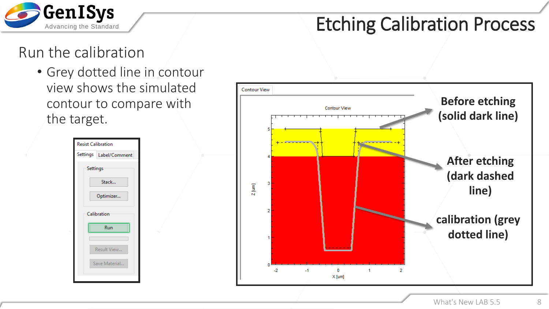

# Etching Calibration Process

#### Run the calibration

• Grey dotted line in contour view shows the simulated contour to compare with the target.



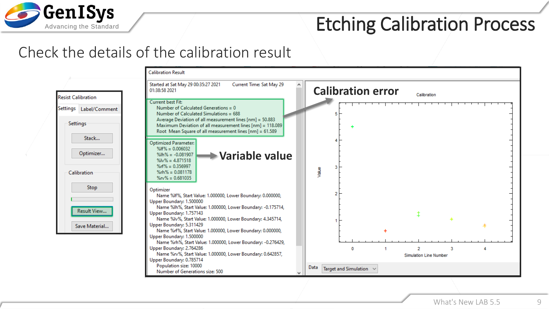

## Etching Calibration Process

#### Check the details of the calibration result

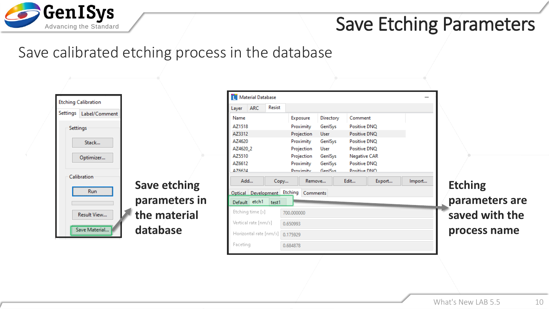

## Save Etching Parameters

#### Save calibrated etching process in the database



| <b>ARC</b><br>Layer                          | <b>Resist</b> |                  |             |                     |        |        |
|----------------------------------------------|---------------|------------------|-------------|---------------------|--------|--------|
| Name                                         |               | Exposure         | Directory   | Comment             |        |        |
| AZ1518                                       |               | Proximity        | GenlSys     | <b>Positive DNO</b> |        |        |
| AZ3312                                       |               | Projection       | <b>User</b> | Positive DNO        |        |        |
| AZ4620                                       |               | Proximity        | GenlSys     | <b>Positive DNO</b> |        |        |
| AZ4620_2                                     |               | Projection       | <b>User</b> | <b>Positive DNO</b> |        |        |
| AZ5510                                       |               | Projection       | GenlSys     | Negative CAR        |        |        |
| AZ6612                                       |               | Proximity        | GenlSys     | Positive DNO        |        |        |
| A76624                                       |               | <b>Provimity</b> | GenlSvc     | Positive DNO        |        |        |
| Add                                          | Copy          | Remove           |             | Edit                | Export | Import |
| Optical Development Etching<br>Default etch1 | test1         | Comments         |             |                     |        |        |
| Etching time [s]                             |               | 700.000000       |             |                     |        |        |
| Vertical rate [nm/s]                         |               | 0.650993         |             |                     |        |        |
| Horizontal rate [nm/s]                       |               | 0.175929         |             |                     |        |        |
| Faceting                                     |               | 0.684878         |             |                     |        |        |

hing **parameters are rad with the process name**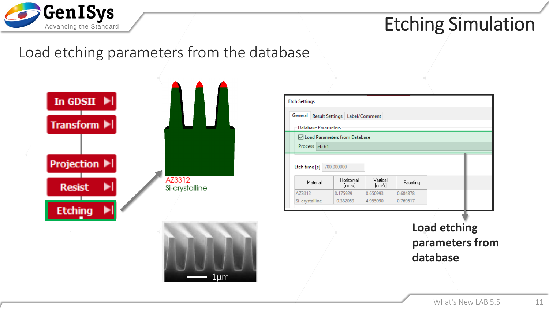

# Etching Simulation

#### Load etching parameters from the database





M

1µm

| General  <br>Result Settings   Label/Comment     |                             |                    |          |  |  |  |  |  |
|--------------------------------------------------|-----------------------------|--------------------|----------|--|--|--|--|--|
| <b>Database Parameters</b>                       |                             |                    |          |  |  |  |  |  |
|                                                  |                             |                    |          |  |  |  |  |  |
| ○ Load Parameters from Database<br>Process etch1 |                             |                    |          |  |  |  |  |  |
| 700.000000<br>Etch time [s]                      |                             |                    |          |  |  |  |  |  |
|                                                  |                             |                    |          |  |  |  |  |  |
| Material                                         | <b>Horizontal</b><br>[nm/s] | Vertical<br>[nm/s] | Faceting |  |  |  |  |  |
| AZ3312                                           | 0.175929                    | 0.650993           | 0.684878 |  |  |  |  |  |

**Load etching parameters from database**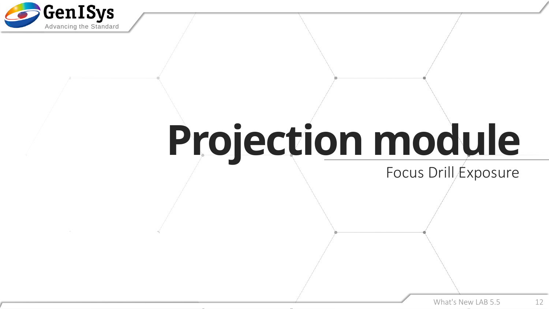

# **Projection module**

Focus Drill Exposure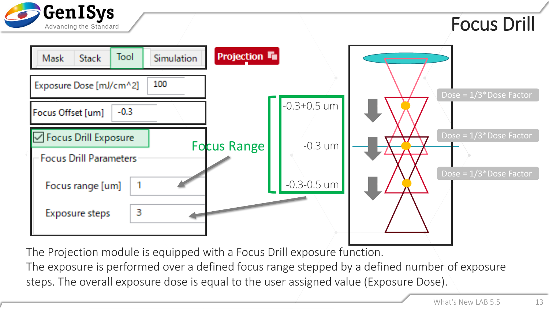

Focus Drill



The exposure is performed over a defined focus range stepped by a defined number of exposure steps. The overall exposure dose is equal to the user assigned value (Exposure Dose).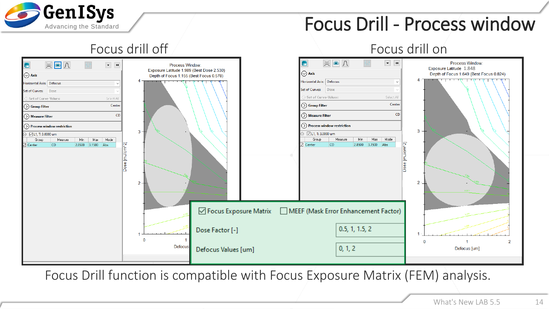

### Focus Drill - Process window



Focus Drill function is compatible with Focus Exposure Matrix (FEM) analysis.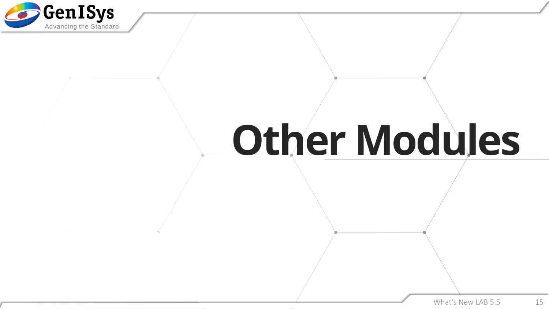

# **Other Modules**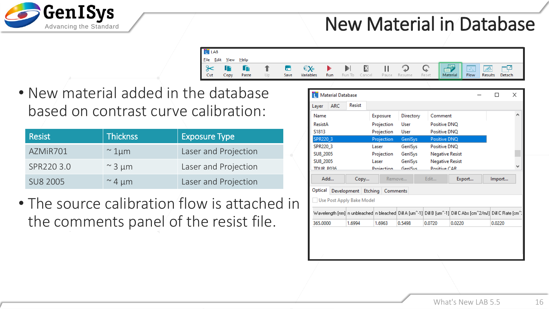

### New Material in Database



• New material added in the database based on contrast curve calibration:

| <b>Resist</b> | <b>Thicknss</b> | <b>Exposure Type</b> |
|---------------|-----------------|----------------------|
| AZMIR701      | $\sim$ 1µm      | Laser and Projection |
| SPR2203.0     | $\sim$ 3 µm     | Laser and Projection |
| SU8 2005      | $\sim$ 4 µm     | Laser and Projection |

• The source calibration flow is attached in the comments panel of the resist file.

|           | Material Database |                              |                   |           |                        |                                                                                                                          |        | × |
|-----------|-------------------|------------------------------|-------------------|-----------|------------------------|--------------------------------------------------------------------------------------------------------------------------|--------|---|
| Layer     | <b>ARC</b>        | Resist                       |                   |           |                        |                                                                                                                          |        |   |
| Name      |                   |                              | Exposure          | Directory | Comment                |                                                                                                                          |        | ́ |
| ResistA   |                   |                              | Projection        | User      | <b>Positive DNO</b>    |                                                                                                                          |        |   |
| S1813     |                   |                              | Projection        | User      | Positive DNO           |                                                                                                                          |        |   |
| SPR220_3  |                   |                              | <b>Projection</b> | GenlSys   | Positive DNQ           |                                                                                                                          |        |   |
| SPR220_3  |                   |                              | Laser             | GenlSys   | <b>Positive DNO</b>    |                                                                                                                          |        |   |
| SU8_2005  |                   |                              | Projection        | GenlSys   | <b>Negative Resist</b> |                                                                                                                          |        |   |
| SU8_2005  |                   |                              | Laser             | GenlSys   | <b>Negative Resist</b> |                                                                                                                          |        |   |
| TDUR POR6 |                   |                              | <b>Projection</b> | GenlSvs   | <b>Positive CAR</b>    |                                                                                                                          |        |   |
| Add       |                   | Copy                         | Remove            |           | Edit                   | Export                                                                                                                   | Import |   |
| Optical   |                   | Development Etching Comments |                   |           |                        |                                                                                                                          |        |   |
|           |                   | Use Post Apply Bake Model    |                   |           |                        |                                                                                                                          |        |   |
|           |                   |                              |                   |           |                        | Wavelength [nm]   n unbleached   n bleached   Dill A [um^-1]   Dill B [um^-1]   Dill C Abs [cm^2/mJ]   Dill C Rate [cm^; |        |   |
| 365,0000  |                   | 1.6994                       | 1.6963            | 0.5498    | 0.0720                 | 0.0220                                                                                                                   | 0.0220 |   |
|           |                   |                              |                   |           |                        |                                                                                                                          |        |   |
|           |                   |                              |                   |           |                        |                                                                                                                          |        |   |

rg i

Detach

M

Results

Flow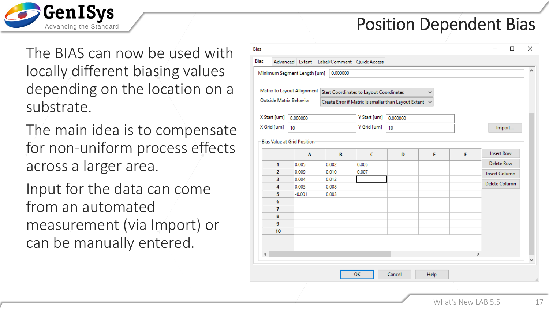

### Position Dependent Bias

The BIAS can now be used with locally different biasing values depending on the location on a substrate.

The main idea is to compensate for non-uniform process effects across a larger area.

Input for the data can come from an automated measurement (via Import) or can be manually entered.

| <b>Bias</b>             |                                    |          |                                                                   |          |      |   | $\Box$               | × |
|-------------------------|------------------------------------|----------|-------------------------------------------------------------------|----------|------|---|----------------------|---|
| <b>Bias</b>             |                                    |          | Advanced Extent Label/Comment Quick Access                        |          |      |   |                      |   |
|                         | Minimum Segment Length [um]        | 0.000000 |                                                                   |          |      |   |                      |   |
| Outside Matrix Behavior | Matrix to Layout Allignment        |          | Start Coordinates to Layout Coordinates                           |          |      |   |                      |   |
|                         |                                    |          | Create Error if Matrix is smaller than Layout Extent $\;\;\vee\;$ |          |      |   |                      |   |
| X Start [um]            | 0.000000                           |          | Y Start [um]                                                      | 0.000000 |      |   |                      |   |
| X Grid [um]             | 10                                 |          | Y Grid [um]                                                       | 10       |      |   | Import               |   |
|                         |                                    |          |                                                                   |          |      |   |                      |   |
|                         | <b>Bias Value at Grid Position</b> |          |                                                                   |          |      |   |                      |   |
|                         |                                    |          |                                                                   |          |      |   |                      |   |
|                         | Α                                  | B        | $\mathbf C$                                                       | D        | E    | F | <b>Insert Row</b>    |   |
| 1                       | 0.005                              | 0.002    | 0.005                                                             |          |      |   | <b>Delete Row</b>    |   |
| $\overline{2}$          | 0.009                              | 0.010    | 0.007                                                             |          |      |   | <b>Insert Column</b> |   |
| 3                       | 0.004                              | 0.012    |                                                                   |          |      |   |                      |   |
| 4                       | 0.003                              | 0.008    |                                                                   |          |      |   | Delete Column        |   |
| 5                       | $-0.001$                           | 0.003    |                                                                   |          |      |   |                      |   |
| 6                       |                                    |          |                                                                   |          |      |   |                      |   |
| 7                       |                                    |          |                                                                   |          |      |   |                      |   |
| 8                       |                                    |          |                                                                   |          |      |   |                      |   |
| $\boldsymbol{9}$        |                                    |          |                                                                   |          |      |   |                      |   |
| 10                      |                                    |          |                                                                   |          |      |   |                      |   |
|                         |                                    |          |                                                                   |          |      |   |                      |   |
|                         |                                    |          |                                                                   |          |      |   |                      |   |
| $\leq$                  |                                    |          |                                                                   |          |      |   | $\rightarrow$        |   |
|                         |                                    |          |                                                                   |          |      |   |                      |   |
|                         |                                    |          |                                                                   |          |      |   |                      |   |
|                         |                                    |          | <b>OK</b>                                                         | Cancel   | Help |   |                      |   |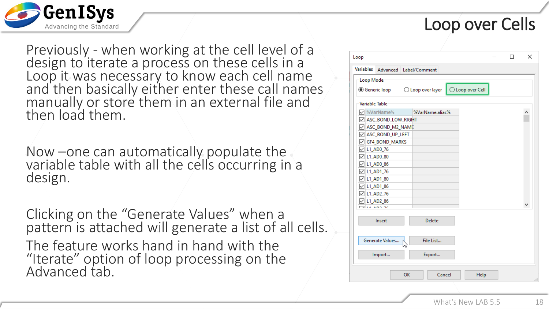

### Loop over Cells

Previously - when working at the cell level of a design to iterate a process on these cells in a Loop it was necessary to know each cell name and then basically either enter these call names manually or store them in an external file and then load them.

Now –one can automatically populate the variable table with all the cells occurring in a design.

Clicking on the "Generate Values" when a pattern is attached will generate a list of all cells. The feature works hand in hand with the "Iterate" option of loop processing on the Advanced tab.

| Loop                          |                        |    |                            |                  |      | п | × |
|-------------------------------|------------------------|----|----------------------------|------------------|------|---|---|
| <b>Variables</b>              | Advanced Label/Comment |    |                            |                  |      |   |   |
| Loop Mode                     |                        |    |                            |                  |      |   |   |
| ◉ Generic loop                |                        |    | $\bigcirc$ Loop over layer | ○ Loop over Cell |      |   |   |
| Variable Table                |                        |    |                            |                  |      |   |   |
| √ %VarName%                   |                        |    | %VarName.alias%            |                  |      |   |   |
|                               | ☑ ASC_BOND_LOW_RIGHT   |    |                            |                  |      |   |   |
|                               | ☑ ASC_BOND_M2_NAME     |    |                            |                  |      |   |   |
|                               | ☑ ASC_BOND_UP_LEFT     |    |                            |                  |      |   |   |
|                               | GF4_BOND_MARKS         |    |                            |                  |      |   |   |
| $\boxed{\triangle}$ L1_AD0_76 |                        |    |                            |                  |      |   |   |
| $\boxed{\circ}$ L1_AD0_80     |                        |    |                            |                  |      |   |   |
| $\boxed{\circ}$ L1_AD0_86     |                        |    |                            |                  |      |   |   |
| ⊡ L1_AD1_76                   |                        |    |                            |                  |      |   |   |
| ⊡ L1_AD1_80                   |                        |    |                            |                  |      |   |   |
| ⊡L1_AD1_86                    |                        |    |                            |                  |      |   |   |
| <b>⊡L1_AD2_76</b>             |                        |    |                            |                  |      |   |   |
| <b>⊡L1_AD2_86</b>             |                        |    |                            |                  |      |   | ٧ |
| Falus Annual                  |                        |    |                            |                  |      |   |   |
|                               | Insert                 |    | <b>Delete</b>              |                  |      |   |   |
|                               | Generate Values        |    | File List                  |                  |      |   |   |
|                               | Import                 |    | Export                     |                  |      |   |   |
|                               |                        | OK | Cancel                     |                  | Help |   |   |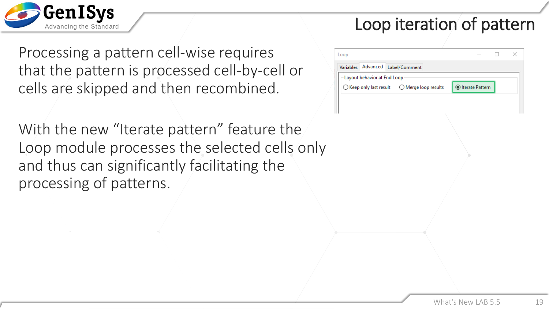

Loop iteration of pattern

Processing a pattern cell-wise requires that the pattern is processed cell-by-cell or cells are skipped and then recombined.

With the new "Iterate pattern" feature the Loop module processes the selected cells only and thus can significantly facilitating the processing of patterns.

| Loop                        |  |                                                                |                   |  |  |  |
|-----------------------------|--|----------------------------------------------------------------|-------------------|--|--|--|
|                             |  | Variables Advanced Label/Comment                               |                   |  |  |  |
| Layout behavior at End Loop |  |                                                                |                   |  |  |  |
|                             |  | $\bigcirc$ Keep only last result $\bigcirc$ Merge loop results | O Iterate Pattern |  |  |  |
|                             |  |                                                                |                   |  |  |  |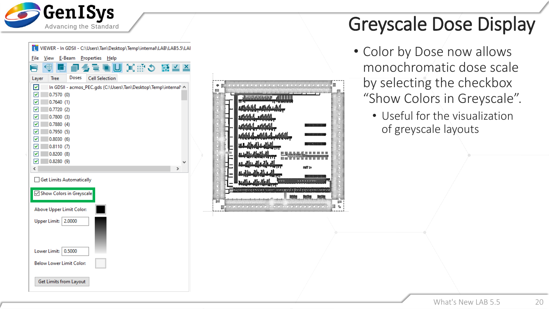

| ш<br>VIEWER - In GDSII - C:\Users\Tan\Desktop\Temp\internal\LAB\LAB5.5\LAI |   |  |  |  |  |  |
|----------------------------------------------------------------------------|---|--|--|--|--|--|
| File<br>View<br>E-Beam<br>Properties<br>Help                               |   |  |  |  |  |  |
| ⋓ ж∄э ख⊻≚<br>48                                                            |   |  |  |  |  |  |
| Doses<br><b>Cell Selection</b><br>Layer<br><b>Tree</b>                     |   |  |  |  |  |  |
| ☑<br>In GDSII - acmos_PEC.gds (C:\Users\Tan\Desktop\Temp\internal\ ^       |   |  |  |  |  |  |
| ⊻<br>0.7570(0)                                                             |   |  |  |  |  |  |
| ☑<br>0.7640(1)                                                             |   |  |  |  |  |  |
| ▽<br>0.7720(2)                                                             |   |  |  |  |  |  |
| ⊽<br>0.7800(3)                                                             |   |  |  |  |  |  |
| ▽<br>0.7880(4)                                                             |   |  |  |  |  |  |
| ☑<br>0.7950(5)<br>▽                                                        |   |  |  |  |  |  |
| 0.8030(6)<br>☑<br>0.8110(7)                                                |   |  |  |  |  |  |
| ☑<br>0.8200(8)                                                             |   |  |  |  |  |  |
| ▽<br>0.8280(9)                                                             |   |  |  |  |  |  |
| €                                                                          | ⋗ |  |  |  |  |  |
|                                                                            |   |  |  |  |  |  |
| Get Limits Automatically                                                   |   |  |  |  |  |  |
| ○ Show Colors in Greyscale                                                 |   |  |  |  |  |  |
|                                                                            |   |  |  |  |  |  |
| Above Upper Limit Color:                                                   |   |  |  |  |  |  |
| 2.0000<br>Upper Limit:                                                     |   |  |  |  |  |  |
|                                                                            |   |  |  |  |  |  |
|                                                                            |   |  |  |  |  |  |
| 0.5000<br>Lower Limit:                                                     |   |  |  |  |  |  |
| <b>Below Lower Limit Color:</b>                                            |   |  |  |  |  |  |
|                                                                            |   |  |  |  |  |  |
| Get Limits from Layout                                                     |   |  |  |  |  |  |



# Greyscale Dose Display

- Color by Dose now allows monochromatic dose scale by selecting the checkbox "Show Colors in Greyscale".
	- Useful for the visualization of greyscale layouts